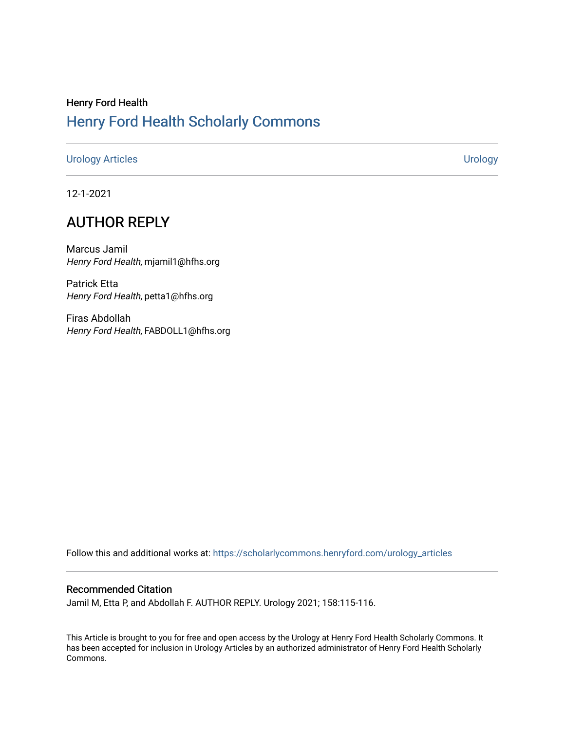# Henry Ford Health [Henry Ford Health Scholarly Commons](https://scholarlycommons.henryford.com/)

## [Urology Articles](https://scholarlycommons.henryford.com/urology_articles) [Urology](https://scholarlycommons.henryford.com/urology)

12-1-2021

# AUTHOR REPLY

Marcus Jamil Henry Ford Health, mjamil1@hfhs.org

Patrick Etta Henry Ford Health, petta1@hfhs.org

Firas Abdollah Henry Ford Health, FABDOLL1@hfhs.org

Follow this and additional works at: [https://scholarlycommons.henryford.com/urology\\_articles](https://scholarlycommons.henryford.com/urology_articles?utm_source=scholarlycommons.henryford.com%2Furology_articles%2F433&utm_medium=PDF&utm_campaign=PDFCoverPages)

# Recommended Citation

Jamil M, Etta P, and Abdollah F. AUTHOR REPLY. Urology 2021; 158:115-116.

This Article is brought to you for free and open access by the Urology at Henry Ford Health Scholarly Commons. It has been accepted for inclusion in Urology Articles by an authorized administrator of Henry Ford Health Scholarly Commons.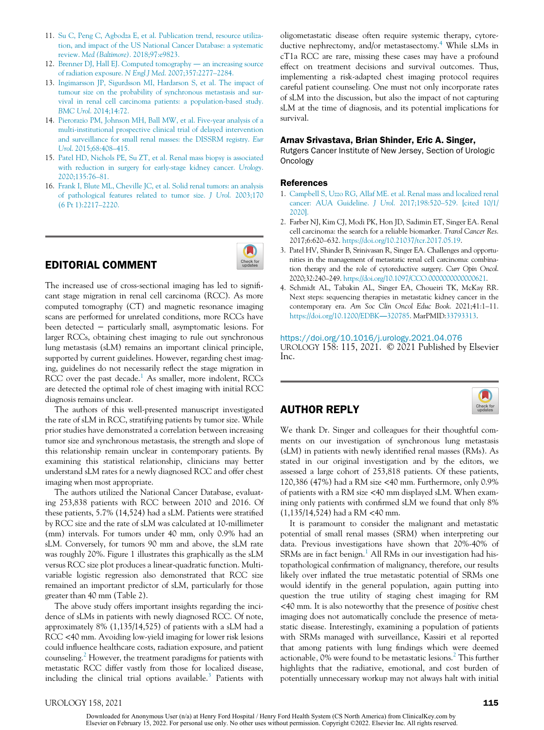- 11. [Su C, Peng C, Agbodza E, et al. Publication trend, resource utiliza](http://refhub.elsevier.com/S0090-4295(21)00657-9/sbref0011)[tion, and impact of the US National Cancer Database: a systematic](http://refhub.elsevier.com/S0090-4295(21)00657-9/sbref0011) review. Med (Baltimore)[. 2018;97:e9823.](http://refhub.elsevier.com/S0090-4295(21)00657-9/sbref0011)
- 12. [Brenner DJ, Hall EJ. Computed tomography](http://refhub.elsevier.com/S0090-4295(21)00657-9/sbref0012) an increasing source [of radiation exposure.](http://refhub.elsevier.com/S0090-4295(21)00657-9/sbref0012) N Engl J Med. 2007;357:2277–2284.
- 13. [Ingimarsson JP, Sigurdsson MI, Hardarson S, et al. The impact of](http://refhub.elsevier.com/S0090-4295(21)00657-9/sbref0013) [tumour size on the probability of synchronous metastasis and sur](http://refhub.elsevier.com/S0090-4295(21)00657-9/sbref0013)[vival in renal cell carcinoma patients: a population-based study.](http://refhub.elsevier.com/S0090-4295(21)00657-9/sbref0013) BMC Urol[. 2014;14:72.](http://refhub.elsevier.com/S0090-4295(21)00657-9/sbref0013)
- 14. [Pierorazio PM, Johnson MH, Ball MW, et al. Five-year analysis of a](http://refhub.elsevier.com/S0090-4295(21)00657-9/sbref0014) [multi-institutional prospective clinical trial of delayed intervention](http://refhub.elsevier.com/S0090-4295(21)00657-9/sbref0014) [and surveillance for small renal masses: the DISSRM registry.](http://refhub.elsevier.com/S0090-4295(21)00657-9/sbref0014) Eur Urol[. 2015;68:408](http://refhub.elsevier.com/S0090-4295(21)00657-9/sbref0014)–415.
- 15. [Patel HD, Nichols PE, Su ZT, et al. Renal mass biopsy is associated](http://refhub.elsevier.com/S0090-4295(21)00657-9/sbref0015) [with reduction in surgery for early-stage kidney cancer.](http://refhub.elsevier.com/S0090-4295(21)00657-9/sbref0015) Urology. [2020;135:76](http://refhub.elsevier.com/S0090-4295(21)00657-9/sbref0015)–81.
- 16. [Frank I, Blute ML, Cheville JC, et al. Solid renal tumors: an analysis](http://refhub.elsevier.com/S0090-4295(21)00657-9/sbref0016) [of pathological features related to tumor size.](http://refhub.elsevier.com/S0090-4295(21)00657-9/sbref0016) J Urol. 2003;170 [\(6 Pt 1\):2217](http://refhub.elsevier.com/S0090-4295(21)00657-9/sbref0016)–2220.

## EDITORIAL COMMENT



The increased use of cross-sectional imaging has led to significant stage migration in renal cell carcinoma (RCC). As more computed tomography (CT) and magnetic resonance imaging scans are performed for unrelated conditions, more RCCs have been detected − particularly small, asymptomatic lesions. For larger RCCs, obtaining chest imaging to rule out synchronous lung metastasis (sLM) remains an important clinical principle, supported by current guidelines. However, regarding chest imaging, guidelines do not necessarily reflect the stage migration in RCC over the past decade.<sup>1</sup> As smaller, more indolent, RCCs are detected the optimal role of chest imaging with initial RCC diagnosis remains unclear.

The authors of this well-presented manuscript investigated the rate of sLM in RCC, stratifying patients by tumor size. While prior studies have demonstrated a correlation between increasing tumor size and synchronous metastasis, the strength and slope of this relationship remain unclear in contemporary patients. By examining this statistical relationship, clinicians may better understand sLM rates for a newly diagnosed RCC and offer chest imaging when most appropriate.

The authors utilized the National Cancer Database, evaluating 253,838 patients with RCC between 2010 and 2016. Of these patients, 5.7% (14,524) had a sLM. Patients were stratified by RCC size and the rate of sLM was calculated at 10-millimeter (mm) intervals. For tumors under 40 mm, only 0.9% had an sLM. Conversely, for tumors 90 mm and above, the sLM rate was roughly 20%. Figure 1 illustrates this graphically as the sLM versus RCC size plot produces a linear-quadratic function. Multivariable logistic regression also demonstrated that RCC size remained an important predictor of sLM, particularly for those greater than 40 mm (Table 2).

The above study offers important insights regarding the incidence of sLMs in patients with newly diagnosed RCC. Of note, approximately 8% (1,135/14,525) of patients with a sLM had a RCC <40 mm. Avoiding low-yield imaging for lower risk lesions could influence healthcare costs, radiation exposure, and patient counseling.<sup>2</sup> However, the treatment paradigms for patients with metastatic RCC differ vastly from those for localized disease, including the clinical trial options available.<sup>3</sup> Patients with

oligometastatic disease often require systemic therapy, cytoreductive nephrectomy, and/or metastasectomy.<sup>4</sup> While sLMs in cT1a RCC are rare, missing these cases may have a profound effect on treatment decisions and survival outcomes. Thus, implementing a risk-adapted chest imaging protocol requires careful patient counseling. One must not only incorporate rates of sLM into the discussion, but also the impact of not capturing sLM at the time of diagnosis, and its potential implications for survival.

### Arnav Srivastava, Brian Shinder, Eric A. Singer,

Rutgers Cancer Institute of New Jersey, Section of Urologic Oncology

### References

- 1. [Campbell S, Uzzo RG, Allaf ME. et al. Renal mass and localized renal](http://refhub.elsevier.com/S0090-4295(21)00657-9/sbref0001) [cancer: AUA Guideline.](http://refhub.elsevier.com/S0090-4295(21)00657-9/sbref0001) J Urol. 2017;198:520–529. [cited 10/1/ [2020\].](http://refhub.elsevier.com/S0090-4295(21)00657-9/sbref0001)
- 2. Farber NJ, Kim CJ, Modi PK, Hon JD, Sadimin ET, Singer EA. Renal cell carcinoma: the search for a reliable biomarker. Transl Cancer Res. 2017;6:620–632. [https://doi.org/10.21037/tcr.2017.05.19.](https://doi.org/10.21037/tcr.2017.05.19)
- 3. Patel HV, Shinder B, Srinivasan R, Singer EA. Challenges and opportunities in the management of metastatic renal cell carcinoma: combination therapy and the role of cytoreductive surgery. Curr Opin Oncol. 2020;32:240–249. [https://doi.org/10.1097/CCO.0000000000000621.](https://doi.org/10.1097/CCO.0000000000000621)
- 4. Schmidt AL, Tabakin AL, Singer EA, Choueiri TK, McKay RR. Next steps: sequencing therapies in metastatic kidney cancer in the contemporary era. Am Soc Clin Oncol Educ Book. 2021;41:1–11. [https://doi.org/10.1200/EDBK](https://doi.org/10.1200/EDBK_320785)-[320785.](https://doi.org/10.1200/EDBK_320785) MarPMID:[33793313.](pmid:33793313)

#### <https://doi.org/10.1016/j.urology.2021.04.076>

UROLOGY 158: 115, 2021. © 2021 Published by Elsevier Inc.



## AUTHOR REPLY

We thank Dr. Singer and colleagues for their thoughtful comments on our investigation of synchronous lung metastasis (sLM) in patients with newly identified renal masses (RMs). As stated in our original investigation and by the editors, we assessed a large cohort of 253,818 patients. Of these patients, 120,386 (47%) had a RM size <40 mm. Furthermore, only 0.9% of patients with a RM size <40 mm displayed sLM. When examining only patients with confirmed sLM we found that only 8% (1,135/14,524) had a RM <40 mm.

It is paramount to consider the malignant and metastatic potential of small renal masses (SRM) when interpreting our data. Previous investigations have shown that 20%-40% of SRMs are in fact benign.<sup>1</sup> All RMs in our investigation had histopathological confirmation of malignancy, therefore, our results likely over inflated the true metastatic potential of SRMs one would identify in the general population, again putting into question the true utility of staging chest imaging for RM <40 mm. It is also noteworthy that the presence of positive chest imaging does not automatically conclude the presence of metastatic disease. Interestingly, examining a population of patients with SRMs managed with surveillance, Kassiri et al reported that among patients with lung findings which were deemed actionable, 0% were found to be metastatic lesions.<sup>2</sup> This further highlights that the radiative, emotional, and cost burden of potentially unnecessary workup may not always halt with initial

Downloaded for Anonymous User (n/a) at Henry Ford Hospital / Henry Ford Health System (CS North America) from ClinicalKey.com by Elsevier on February 15, 2022. For personal use only. No other uses without permission. Copyright ©2022. Elsevier Inc. All rights reserved.